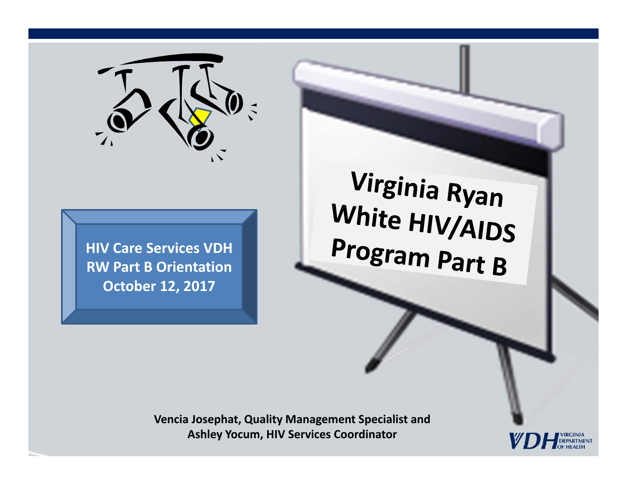

**HIV Care Services VDH RW Part B Orientation October 12, 2017**

Virginia Ryan White HIV/AIDS Program Part B

**Vencia Josephat, Quality Management Specialist and Ashley Yocum, HIV Services Coordinator**

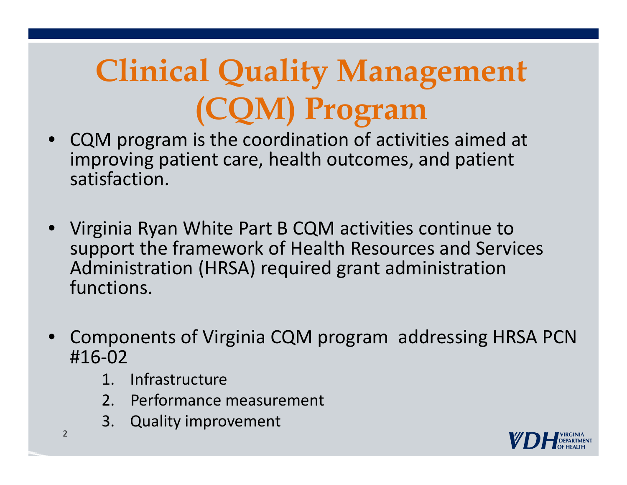## **Clinical Quality Management (CQM) Program**

- • CQM program is the coordination of activities aimed at improving patient care, health outcomes, and patient satisfaction.
- • Virginia Ryan White Part B CQM activities continue to support the framework of Health Resources and Services Administration (HRSA) required grant administration functions.
- • Components of Virginia CQM program addressing HRSA PCN #16‐02
	- 1. Infrastructure
	- 2. Performance measurement
	- 3. Quality improvement

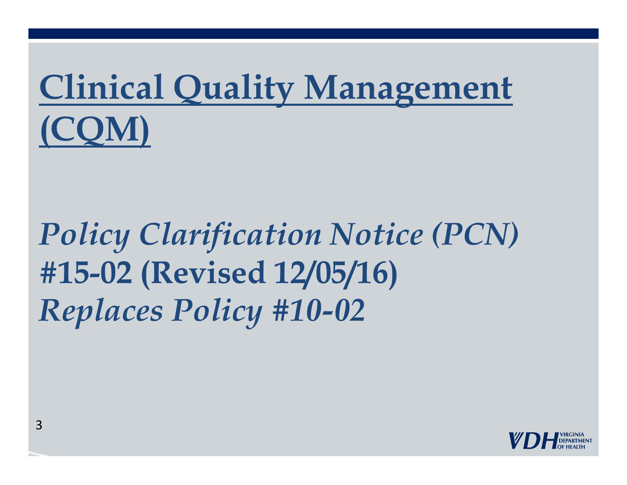# **Clinical Quality Management (CQM)**

## *Policy Clarification Notice (PCN)*  **#15-02 (Revised 12/05/16)**  *Replaces Policy #10-02*

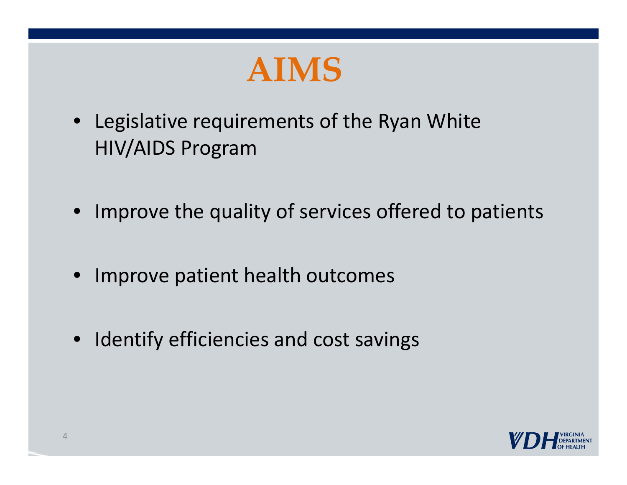

- Legislative requirements of the Ryan White HIV/AIDS Program
- Improve the quality of services offered to patients
- Improve patient health outcomes
- Identify efficiencies and cost savings

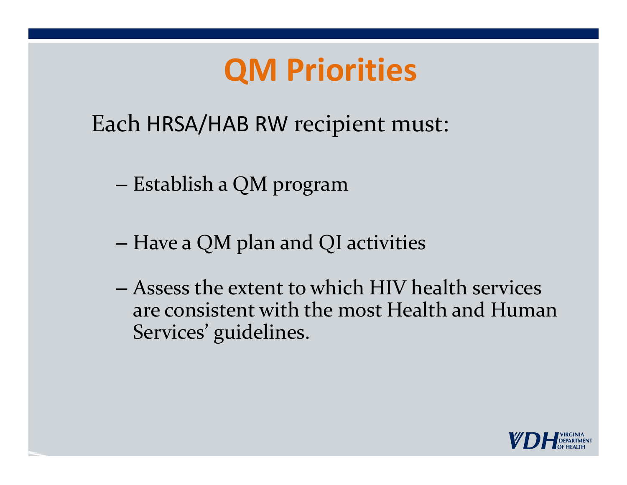## **QM Priorities**

Each HRSA/HAB RW recipient must:

- Establish <sup>a</sup> QM program
- –Have <sup>a</sup> QM plan and QI activities
- Assess the extent to which HIV health services are consistent with the most Health and HumanServices' guidelines.

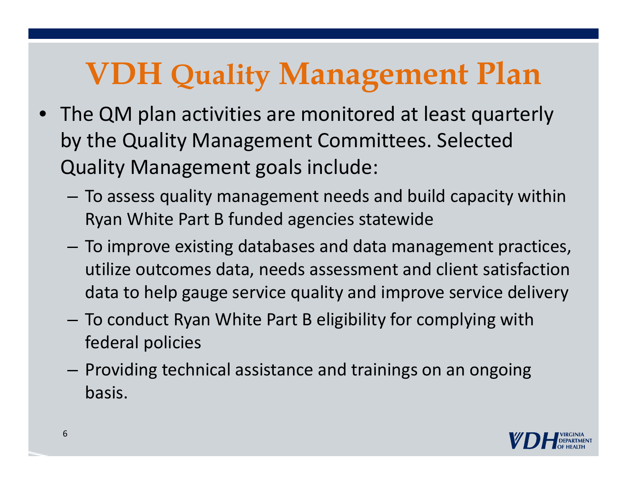## **VDH Quality Management Plan**

- The QM plan activities are monitored at least quarterly by the Quality Management Committees. Selected Quality Management goals include:
	- $-$  To assess quality management needs and build capacity within Ryan White Part B funded agencies statewide
	- – To improve existing databases and data management practices, utilize outcomes data, needs assessment and client satisfaction data to help gauge service quality and improve service delivery
	- $-$  To conduct Ryan White Part B eligibility for complying with federal policies
	- $-$  Providing technical assistance and trainings on an ongoing basis.

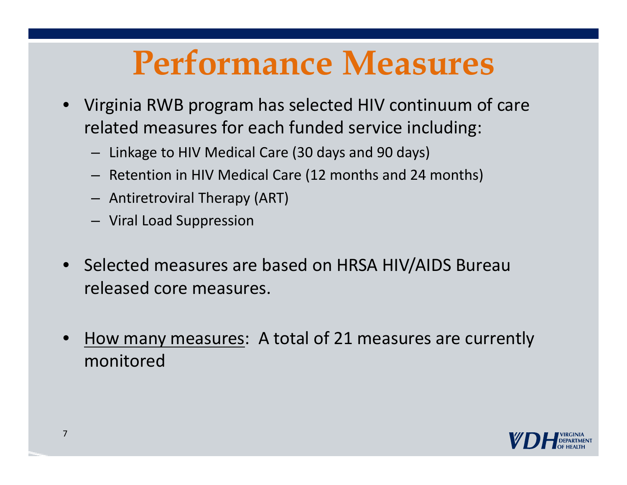## **Performance Measures**

- • Virginia RWB program has selected HIV continuum of care related measures for each funded service including:
	- Linkage to HIV Medical Care (30 days and 90 days)
	- Retention in HIV Medical Care (12 months and 24 months)
	- Antiretroviral Therapy (ART)
	- Viral Load Suppression
- •• Selected measures are based on HRSA HIV/AIDS Bureau released core measures.
- •• How many measures: A total of 21 measures are currently monitored

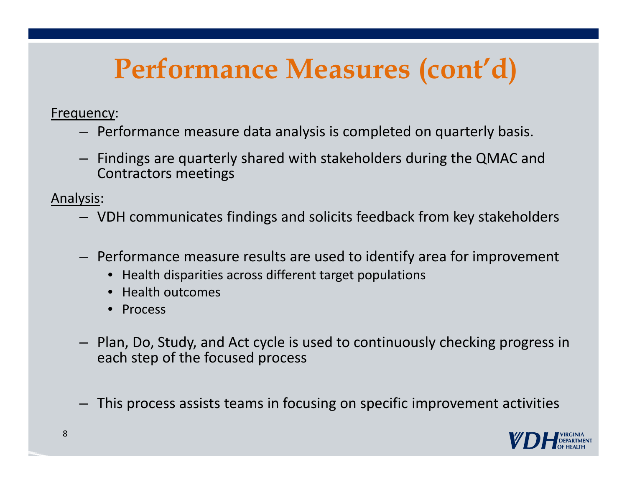## **Performance Measures (cont'd)**

Frequency:

- Performance measure data analysis is completed on quarterly basis.
- Findings are quarterly shared with stakeholders during the QMAC and Contractors meetings

Analysis:

- VDH communicates findings and solicits feedback from key stakeholders
- Performance measure results are used to identify area for improvement
	- Health disparities across different target populations
	- Health outcomes
	- Process
- Plan, Do, Study, and Act cycle is used to continuously checking progress in each step of the focused process
- –This process assists teams in focusing on specific improvement activities

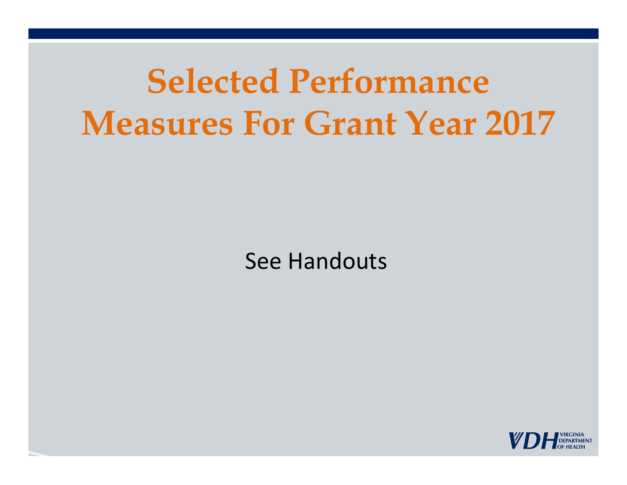## **Selected Performance Measures For Grant Year 2017**

See Handouts

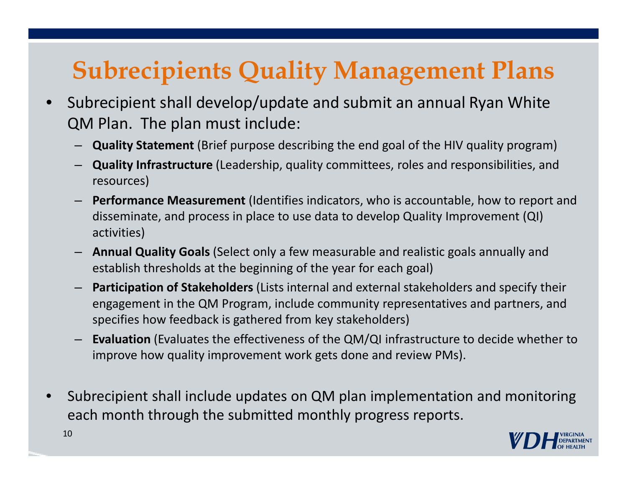### **Subrecipients Quality Management Plans**

- • Subrecipient shall develop/update and submit an annual Ryan White QM Plan. The plan must include:
	- **Quality Statement** (Brief purpose describing the end goal of the HIV quality program)
	- **Quality Infrastructure** (Leadership, quality committees, roles and responsibilities, and resources)
	- **Performance Measurement** (Identifies indicators, who is accountable, how to report and disseminate, and process in place to use data to develop Quality Improvement (QI) activities)
	- **Annual Quality Goals** (Select only a few measurable and realistic goals annually and establish thresholds at the beginning of the year for each goal)
	- **Participation of Stakeholders** (Lists internal and external stakeholders and specify their engagement in the QM Program, include community representatives and partners, and specifies how feedback is gathered from key stakeholders)
	- **Evaluation** (Evaluates the effectiveness of the QM/QI infrastructure to decide whether to improve how quality improvement work gets done and review PMs).
- • Subrecipient shall include updates on QM plan implementation and monitoring each month through the submitted monthly progress reports.

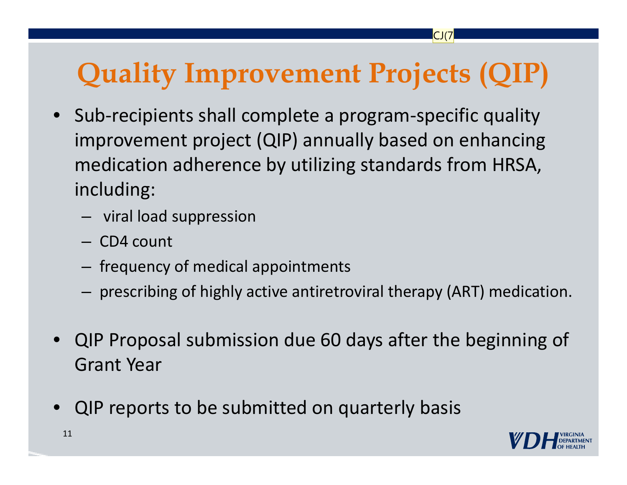## **Quality Improvement Projects (QIP)**

CJ(7

- Sub ‐recipients shall complete a program ‐specific quality improvement project (QIP) annually based on enhancing medication adherence by utilizing standards from HRSA, including:
	- –viral load suppression
	- CD4 count
	- $-$  frequency of medical appointments
	- $-$  prescribing of highly active antiretroviral therapy (ART) medication.
- QIP Proposal submission due 60 days after the beginning of Grant Year
- •QIP reports to be submitted on quarterly basis

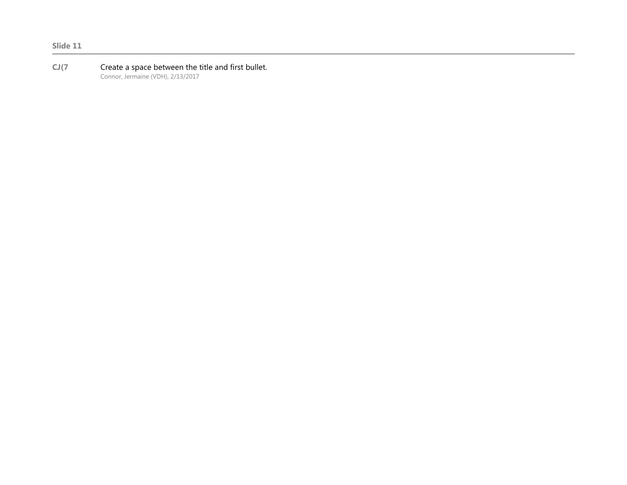#### **CJ(7** Create a space between the title and first bullet. Connor, Jermaine (VDH), 2/13/2017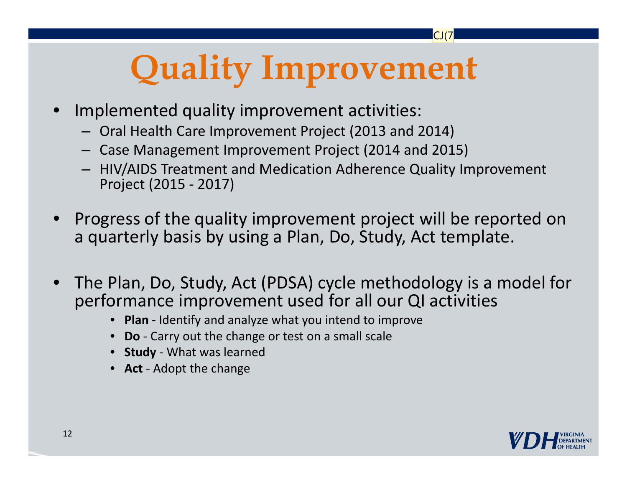# **Quality Improvement**

 $CI(7$ 

- • Implemented quality improvement activities:
	- Oral Health Care Improvement Project (2013 and 2014)
	- Case Management Improvement Project (2014 and 2015)
	- $-$  HIV/AIDS Treatment and Medication Adherence Quality Improvement Project (2015 ‐ 2017)
- • Progress of the quality improvement project will be reported on a quarterly basis by using a Plan, Do, Study, Act template.
- $\bullet$  The Plan, Do, Study, Act (PDSA) cycle methodology is a model for performance improvement used for all our QI activities
	- **Plan** ‐ Identify and analyze what you intend to improve
	- **Do** ‐ Carry out the change or test on a small scale
	- **Study** ‐ What was learned
	- **Act** ‐ Adopt the change

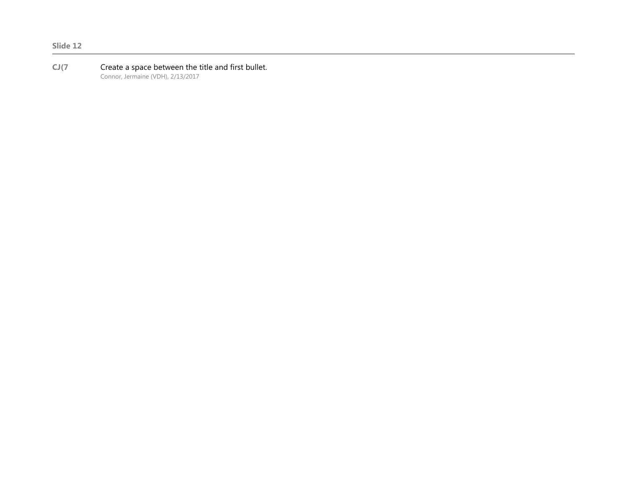#### **CJ(7** Create a space between the title and first bullet. Connor, Jermaine (VDH), 2/13/2017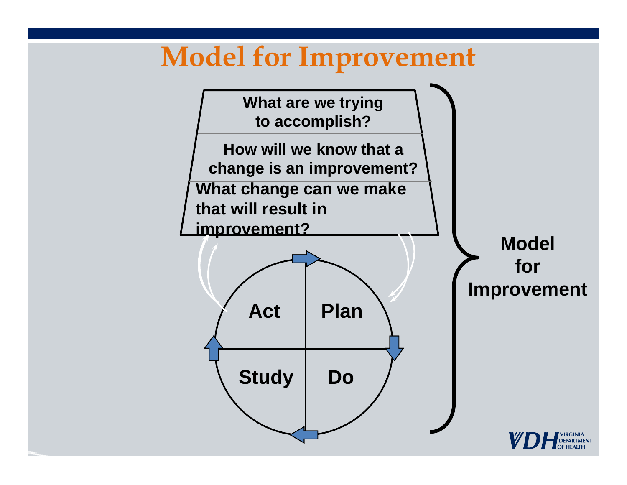## **Model for Improvement**

**What are we trying to accomplish?**

**How will we know that a change is an improvement? What change can we make** 

**that will result in** 

**improvement?**



**Model for Improvement** 

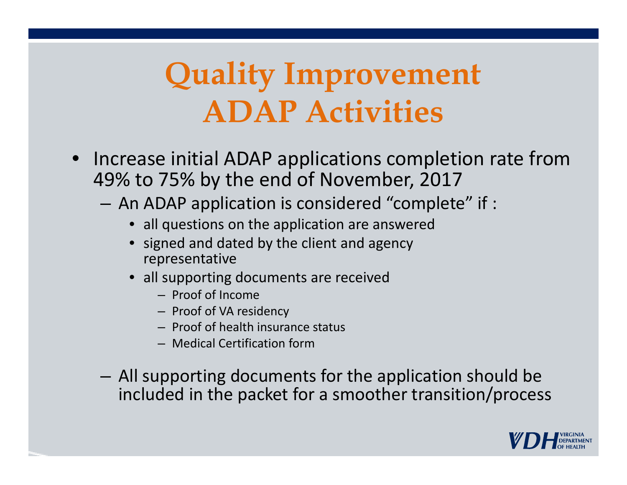## **Quality Improvement ADAP Activities**

- Increase initial ADAP applications completion rate from 49% to 75% by the end of November, 2017
	- $-$  An ADAP application is considered "complete" if :
		- all questions on the application are answered
		- signed and dated by the client and agency representative
		- all supporting documents are received
			- Proof of Income
			- Proof of VA residency
			- Proof of health insurance status
			- Medical Certification form
	- – All supporting documents for the application should be included in the packet for a smoother transition/process

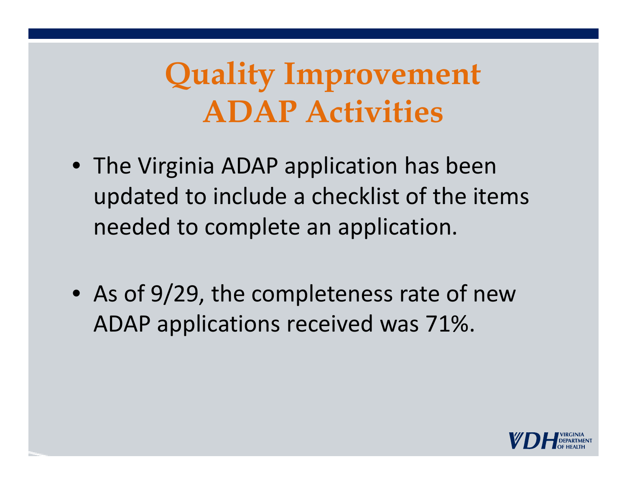## **Quality Improvement ADAP Activities**

- The Virginia ADAP application has been updated to include a checklist of the items needed to complete an application.
- As of 9/29, the completeness rate of new ADAP applications received was 71%.

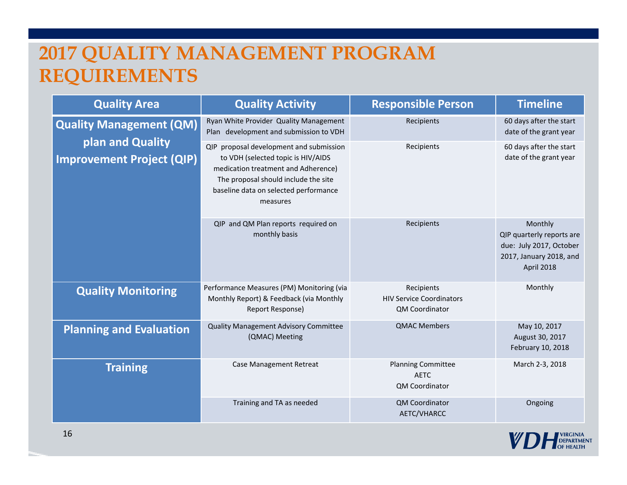#### **2017 QUALITY MANAGEMENT PROGRAM REQUIREMENTS**

| <b>Quality Area</b>                                                                    | <b>Quality Activity</b>                                                                                                                                                                                           | <b>Responsible Person</b>                                              | <b>Timeline</b>                                                                                          |
|----------------------------------------------------------------------------------------|-------------------------------------------------------------------------------------------------------------------------------------------------------------------------------------------------------------------|------------------------------------------------------------------------|----------------------------------------------------------------------------------------------------------|
| <b>Quality Management (QM)</b><br>plan and Quality<br><b>Improvement Project (QIP)</b> | Ryan White Provider Quality Management<br>Plan development and submission to VDH                                                                                                                                  | Recipients                                                             | 60 days after the start<br>date of the grant year                                                        |
|                                                                                        | QIP proposal development and submission<br>to VDH (selected topic is HIV/AIDS<br>medication treatment and Adherence)<br>The proposal should include the site<br>baseline data on selected performance<br>measures | Recipients                                                             | 60 days after the start<br>date of the grant year                                                        |
|                                                                                        | QIP and QM Plan reports required on<br>monthly basis                                                                                                                                                              | Recipients                                                             | Monthly<br>QIP quarterly reports are<br>due: July 2017, October<br>2017, January 2018, and<br>April 2018 |
| <b>Quality Monitoring</b>                                                              | Performance Measures (PM) Monitoring (via<br>Monthly Report) & Feedback (via Monthly<br>Report Response)                                                                                                          | Recipients<br><b>HIV Service Coordinators</b><br><b>QM Coordinator</b> | Monthly                                                                                                  |
| <b>Planning and Evaluation</b>                                                         | <b>Quality Management Advisory Committee</b><br>(QMAC) Meeting                                                                                                                                                    | <b>QMAC Members</b>                                                    | May 10, 2017<br>August 30, 2017<br>February 10, 2018                                                     |
| <b>Training</b>                                                                        | Case Management Retreat                                                                                                                                                                                           | <b>Planning Committee</b><br><b>AETC</b><br>QM Coordinator             | March 2-3, 2018                                                                                          |
|                                                                                        | Training and TA as needed                                                                                                                                                                                         | <b>QM Coordinator</b><br>AETC/VHARCC                                   | Ongoing                                                                                                  |

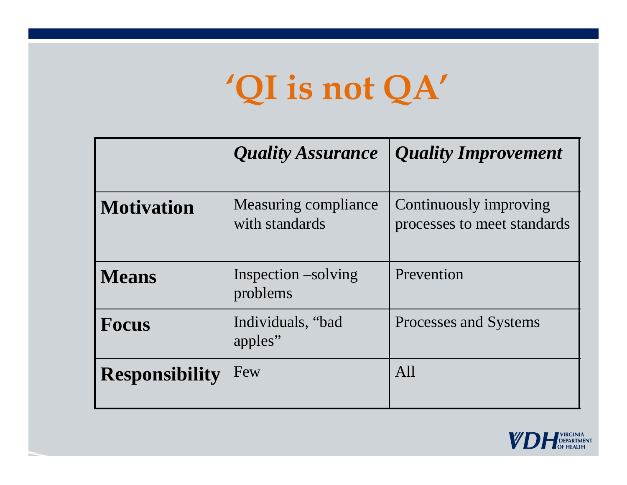## **'QI is not QA'**

|                       | <b>Quality Assurance</b>               | <b>Quality Improvement</b>                            |
|-----------------------|----------------------------------------|-------------------------------------------------------|
| <b>Motivation</b>     | Measuring compliance<br>with standards | Continuously improving<br>processes to meet standards |
| <b>Means</b>          | Inspection –solving<br>problems        | Prevention                                            |
| <b>Focus</b>          | Individuals, "bad<br>apples"           | Processes and Systems                                 |
| <b>Responsibility</b> | Few                                    | All                                                   |

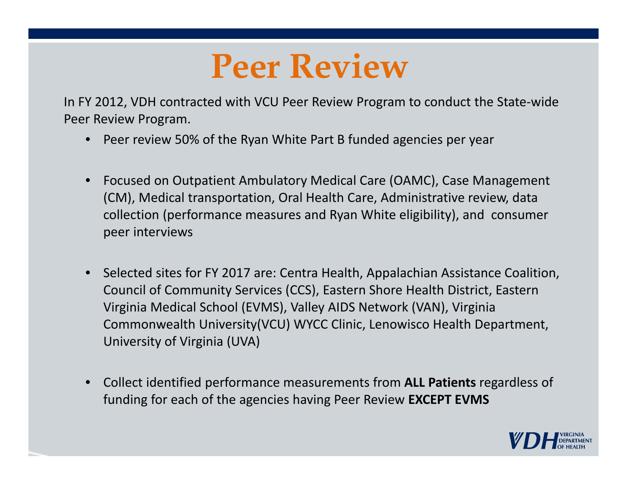## **Peer Review**

In FY 2012, VDH contracted with VCU Peer Review Program to conduct the State‐wide Peer Review Program.

- Peer review 50% of the Ryan White Part B funded agencies per year
- $\bullet$  Focused on Outpatient Ambulatory Medical Care (OAMC), Case Management (CM), Medical transportation, Oral Health Care, Administrative review, data collection (performance measures and Ryan White eligibility), and consumer peer interviews
- •• Selected sites for FY 2017 are: Centra Health, Appalachian Assistance Coalition, Council of Community Services (CCS), Eastern Shore Health District, Eastern Virginia Medical School (EVMS), Valley AIDS Network (VAN), Virginia Commonwealth University(VCU) WYCC Clinic, Lenowisco Health Department, University of Virginia (UVA)
- $\bullet$  Collect identified performance measurements from **ALL Patients** regardless of funding for each of the agencies having Peer Review **EXCEPT EVMS**

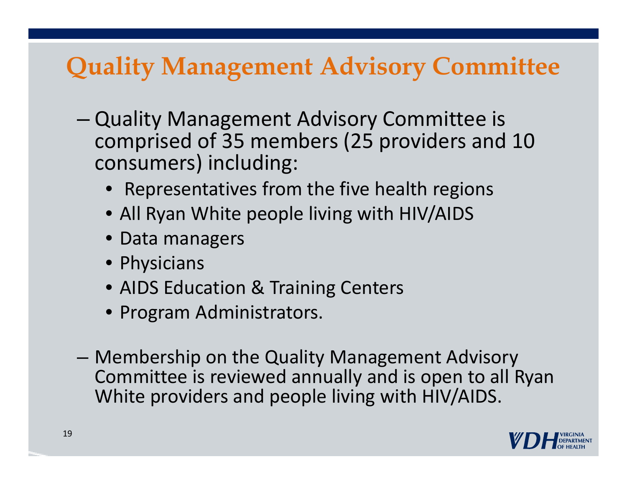### **Quality Management Advisory Committee**

- – Quality Management Advisory Committee is comprised of 35 members (25 providers and 10 consumers) including:
	- Representatives from the five health regions
	- All Ryan White people living with HIV/AIDS
	- Data managers
	- Physicians
	- AIDS Education & Training Centers
	- Program Administrators.
- – Membership on the Quality Management Advisory Committee is reviewed annually and is open to all Ryan White providers and people living with HIV/AIDS.

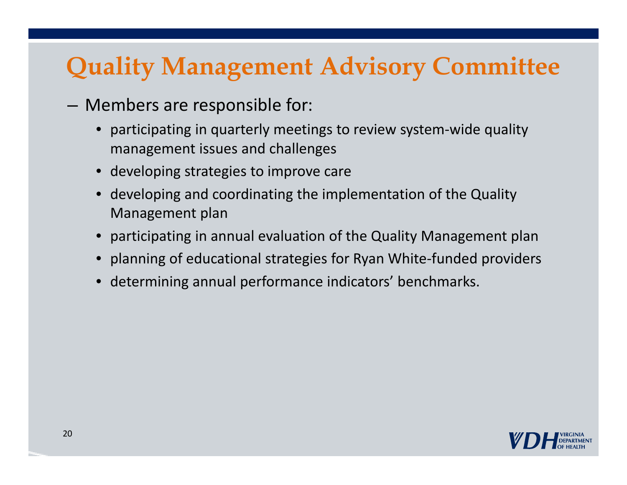### **Quality Management Advisory Committee**

- Members are responsible for:
	- participating in quarterly meetings to review system ‐wide quality management issues and challenges
	- developing strategies to improve care
	- developing and coordinating the implementation of the Quality Management plan
	- participating in annual evaluation of the Quality Management plan
	- planning of educational strategies for Ryan White-funded providers
	- •determining annual performance indicators' benchmarks.

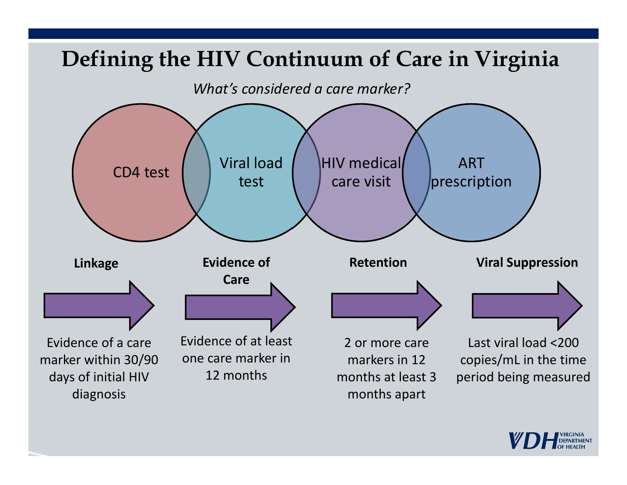

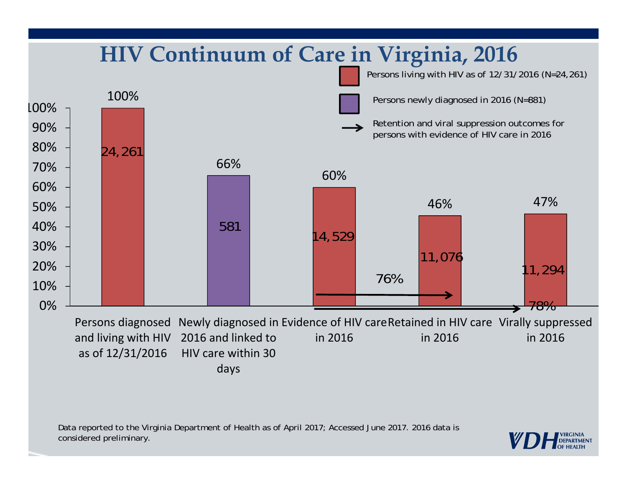

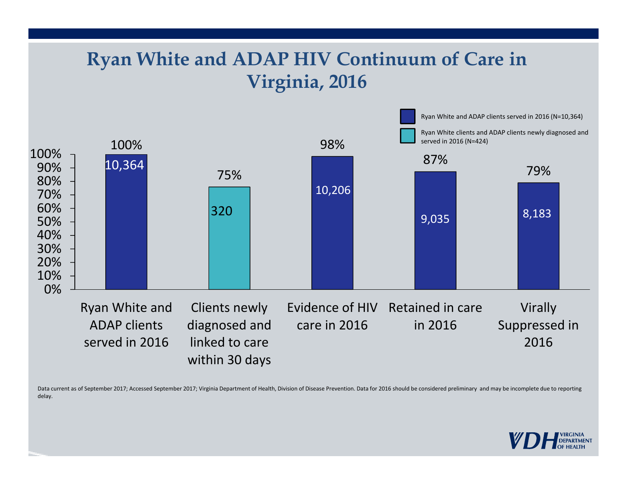#### **Ryan White and ADAP HIV Continuum of Care in Virginia, 2016**



Data current as of September 2017; Accessed September 2017; Virginia Department of Health, Division of Disease Prevention. Data for 2016 should be considered preliminary and may be incomplete due to reporting delay.

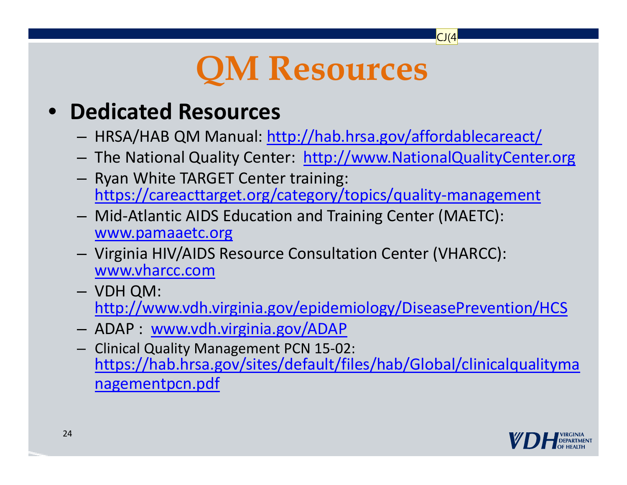## **QM Resources**

 $CI(4)$ 

#### $\bullet$ **Dedicated Resources**

- HRSA/HAB QM Manual: http://hab.hrsa.gov/affordablecareact/
- The National Quality Center: http://www.NationalQualityCenter.org
- $-$  Ryan White TARGET Center training: https://careacttarget.org/category/topics/quality ‐management
- Mid ‐Atlantic AIDS Education and Training Center (MAETC): www.pamaaetc.org
- Virginia HIV/AIDS Resource Consultation Center (VHARCC): www.vharcc.com
- VDH QM: http://www.vdh.virginia.gov/epidemiology/DiseasePrevention/HCS
- –ADAP : www.vdh.virginia.gov/ADAP
- Clinical Quality Management PCN 15 ‐02: https://hab.hrsa.gov/sites/default/files/hab/Global/clinicalqualityma nagementpcn.pdf

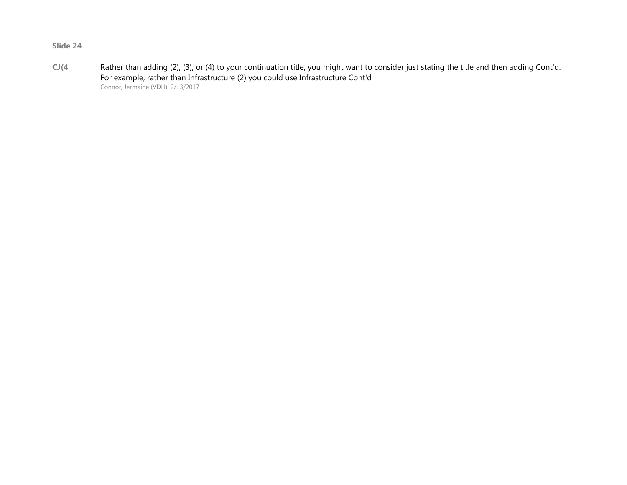**CJ(4** Rather than adding (2), (3), or (4) to your continuation title, you might want to consider just stating the title and then adding Cont'd. For example, rather than Infrastructure (2) you could use Infrastructure Cont'd Connor, Jermaine (VDH), 2/13/2017